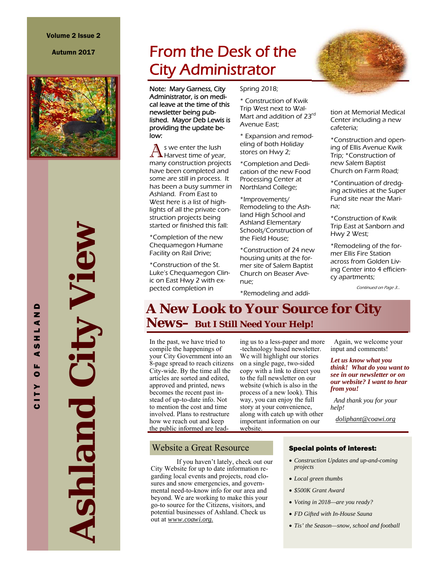Autumn 2017



**Ashland** *City View* City View Ashland

CITY OF ASHLAND

 $\mathbf{r}$ ပ

 $\blacksquare$ z  $\blacktriangleleft$ J, z **S**  $\blacktriangleleft$ u.  $\bullet$ s.

# From the Desk of the City Administrator

Note: Mary Garness, City Administrator, is on medical leave at the time of this newsletter being published. Mayor Deb Lewis is providing the update below:

 $\bigwedge$  s we enter the lush Harvest time of year, many construction projects have been completed and some are still in process. It has been a busy summer in Ashland. From East to West here is a list of highlights of all the private construction projects being started or finished this fall:

\*Completion of the new Chequamegon Humane Facility on Rail Drive;

\*Construction of the St. Luke's Chequamegon Clinic on East Hwy 2 with expected completion in

Spring 2018;

\* Construction of Kwik Trip West next to Wal-Mart and addition of 23<sup>rd</sup> Avenue East;

\* Expansion and remodeling of both Holiday stores on Hwy 2;

\*Completion and Dedication of the new Food Processing Center at Northland College;

\*Improvements/ Remodeling to the Ashland High School and Ashland Elementary Schools/Construction of the Field House;

\*Construction of 24 new housing units at the former site of Salem Baptist Church on Beaser Avenue;

\*Remodeling and addi-



\*Construction and opening of Ellis Avenue Kwik Trip; \*Construction of new Salem Baptist Church on Farm Road;

\*Continuation of dredging activities at the Super Fund site near the Marina;

\*Construction of Kwik Trip East at Sanborn and Hwy 2 West;

\*Remodeling of the former Ellis Fire Station across from Golden Living Center into 4 efficiency apartments;

Continued on Page 3...

# **A New Look to Your Source for City News–** *But I Still Need Your Help!*

In the past, we have tried to compile the happenings of your City Government into an 8-page spread to reach citizens City-wide. By the time all the articles are sorted and edited, approved and printed, news becomes the recent past instead of up-to-date info. Not to mention the cost and time involved. Plans to restructure how we reach out and keep the public informed are leading us to a less-paper and more -technology based newsletter. We will highlight our stories on a single page, two-sided copy with a link to direct you to the full newsletter on our website (which is also in the process of a new look). This way, you can enjoy the full story at your convenience, along with catch up with other important information on our website.

 Again, we welcome your input and comments!

*Let us know what you think! What do you want to see in our newsletter or on our website? I want to hear from you!*

 *And thank you for your help!* 

*doliphant@coawi.org* 

#### Website a Great Resource

 If you haven't lately, check out our City Website for up to date information regarding local events and projects, road closures and snow emergencies, and governmental need-to-know info for our area and beyond. We are working to make this your go-to source for the Citizens, visitors, and potential businesses of Ashland. Check us out at *www.coawi.org.*

#### Special points of interest:

- *Construction Updates and up-and-coming projects*
- *Local green thumbs*
- *\$500K Grant Award*
- *Voting in 2018—are you ready?*
- *FD Gifted with In-House Sauna*
- *Tis' the Season—snow, school and football*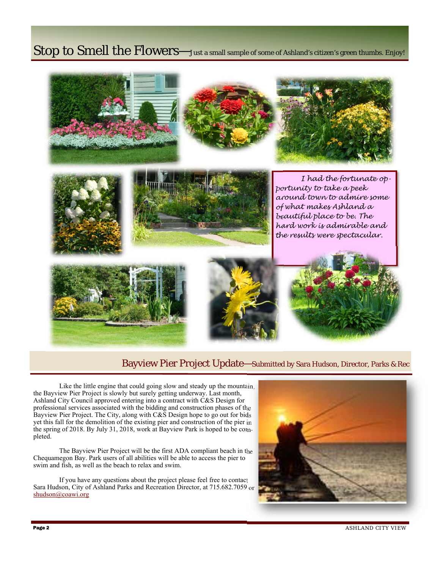# Stop to Smell the Flowers—Just a small sample of some of Ashland's citizen's green thumbs. Enjoy!



### Bayview Pier Project Update—Submitted by Sara Hudson, Director, Parks & Rec

 Like the little engine that could going slow and steady up the mountain, the Bayview Pier Project is slowly but surely getting underway. Last month, Ashland City Council approved entering into a contract with C&S Design for professional services associated with the bidding and construction phases of the Bayview Pier Project. The City, along with C&S Design hope to go out for bids yet this fall for the demolition of the existing pier and construction of the pier in the spring of 2018. By July 31, 2018, work at Bayview Park is hoped to be completed.

 The Bayview Pier Project will be the first ADA compliant beach in the Chequamegon Bay. Park users of all abilities will be able to access the pier to swim and fish, as well as the beach to relax and swim.

 If you have any questions about the project please feel free to contact Sara Hudson, City of Ashland Parks and Recreation Director, at 715.682.7059 or shudson@coawi.org



ASHLAND CITY VIEW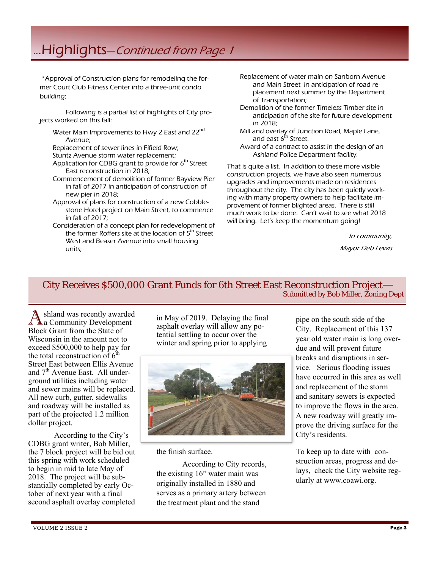# ...Highlights—Continued from Page 1

 \*Approval of Construction plans for remodeling the former Court Club Fitness Center into a three-unit condo building;

 Following is a partial list of highlights of City projects worked on this fall:

Water Main Improvements to Hwy 2 East and 22<sup>nd</sup> Avenue;

Replacement of sewer lines in Fifield Row;

Stuntz Avenue storm water replacement;

- Application for CDBG grant to provide for  $6<sup>th</sup>$  Street East reconstruction in 2018;
- Commencement of demolition of former Bayview Pier in fall of 2017 in anticipation of construction of new pier in 2018;
- Approval of plans for construction of a new Cobblestone Hotel project on Main Street, to commence in fall of 2017;
- Consideration of a concept plan for redevelopment of the former Roffers site at the location of 5<sup>th</sup> Street West and Beaser Avenue into small housing units;
- Replacement of water main on Sanborn Avenue and Main Street in anticipation of road replacement next summer by the Department of Transportation;
- Demolition of the former Timeless Timber site in anticipation of the site for future development in 2018;
- Mill and overlay of Junction Road, Maple Lane, and east  $6^{th}$  Street.
- Award of a contract to assist in the design of an Ashland Police Department facility.

That is quite a list. In addition to these more visible construction projects, we have also seen numerous upgrades and improvements made on residences throughout the city. The city has been quietly working with many property owners to help facilitate improvement of former blighted areas. There is still much work to be done. Can't wait to see what 2018 will bring. Let's keep the momentum going!

In community,

Mayor Deb Lewis

# City Receives \$500,000 Grant Funds for 6th Street East Reconstruction Project— Submitted by Bob Miller, Zoning Dept

shland was recently awarded a Community Development Block Grant from the State of Wisconsin in the amount not to exceed \$500,000 to help pay for the total reconstruction of  $6<sup>th</sup>$ Street East between Ellis Avenue and  $7<sup>th</sup>$  Avenue East. All underground utilities including water and sewer mains will be replaced. All new curb, gutter, sidewalks and roadway will be installed as part of the projected 1.2 million dollar project.

 According to the City's CDBG grant writer, Bob Miller, the 7 block project will be bid out this spring with work scheduled to begin in mid to late May of 2018. The project will be substantially completed by early October of next year with a final second asphalt overlay completed

in May of 2019. Delaying the final asphalt overlay will allow any potential settling to occur over the winter and spring prior to applying



the finish surface.

 According to City records, the existing 16" water main was originally installed in 1880 and serves as a primary artery between the treatment plant and the stand

pipe on the south side of the City. Replacement of this 137 year old water main is long overdue and will prevent future breaks and disruptions in service. Serious flooding issues have occurred in this area as well and replacement of the storm and sanitary sewers is expected to improve the flows in the area. A new roadway will greatly improve the driving surface for the City's residents.

To keep up to date with construction areas, progress and delays, check the City website regularly at www.coawi.org.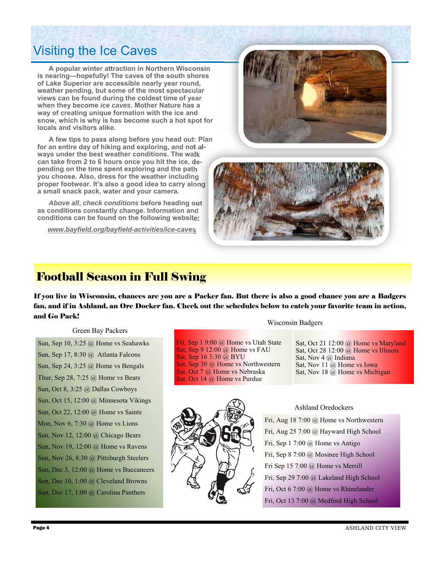# Visiting the Ice Caves

 **A popular winter attraction in Northern Wisconsin is nearing—hopefully! The caves of the south shores of Lake Superior are accessible nearly year round, weather pending, but some of the most spectacular views can be found during the coldest time of year when they become** *ice caves***. Mother Nature has a way of creating unique formation with the ice and snow, which is why is has become such a hot spot for locals and visitors alike.** 

 **A few tips to pass along before you head out: Plan for an entire day of hiking and exploring, and not always under the best weather conditions. The walk can take from 2 to 6 hours once you hit the ice, depending on the time spent exploring and the path you choose. Also, dress for the weather including proper footwear. It's also a good idea to carry along a small snack pack, water and your camera.** 

*Above all***,** *check conditions* **before heading out as conditions constantly change. Information and conditions can be found on the following website:** 

*www.bayfield.org/bayfield-activities/ice-caves*





## Football Season in Full Swing

If you live in Wisconsin, chances are you are a Packer fan. But there is also a good chance you are a Badgers fan, and if in Ashland, an Ore Docker fan. Check out the schedules below to catch your favorite team in action, and Go Pack!

Sat, Sep 16 3:30 @ BYU

Fri, Sep 1 9:00 @ Home vs Utah State Sat, Sep 9 12:00 @ Home vs FAU

Sat, Sep 30 @ Home vs Northwestern Sat, Oct 7 @ Home vs Nebraska Sat, Oct 14 @ Home vs Purdue

Green Bay Packers

Sun, Sep 10, 3:25 @ Home vs Seahawks Sun, Sep 17, 8:30 @ Atlanta Falcons Sun, Sep 24, 3:25 @ Home vs Bengals Thur, Sep 28,  $7:25$  @ Home vs Bears Sun, Oct 8, 3:25 @ Dallas Cowboys Sun, Oct 15, 12:00 @ Minnesota Vikings Sun, Oct 22, 12:00 @ Home vs Saints Mon, Nov 6, 7:30 @ Home vs Lions Sun, Nov 12, 12:00 @ Chicago Bears Sun, Nov 19, 12:00 @ Home vs Ravens Sun, Nov 26, 8:30 @ Pittsburgh Steelers Sun, Dec 3, 12:00 @ Home vs Buccaneers Sun, Dec 10, 1:00 @ Cleveland Browns Sun, Dec 17, 1:00 @ Carolina Panthers

Wisconsin Badgers

Sat, Oct 21 12:00 @ Home vs Maryland Sat, Oct 28 12:00  $\omega$  Home vs Illinois Sat, Nov 4 @ Indiana Sat, Nov 11 @ Home vs Iowa Sat, Nov 18 @ Home vs Michigan



Ashland Oredockers

Fri, Aug 18 7:00 @ Home vs Northwestern Fri, Aug 25 7:00 @ Hayward High School Fri, Sep 1 7:00 @ Home vs Antigo Fri, Sep 8 7:00 @ Mosinee High School Fri Sep 15 7:00 @ Home vs Merrill Fri, Sep 29 7:00 @ Lakeland High School Fri, Oct 6 7:00 @ Home vs Rhinelander Fri, Oct 13 7:00 @ Medford High School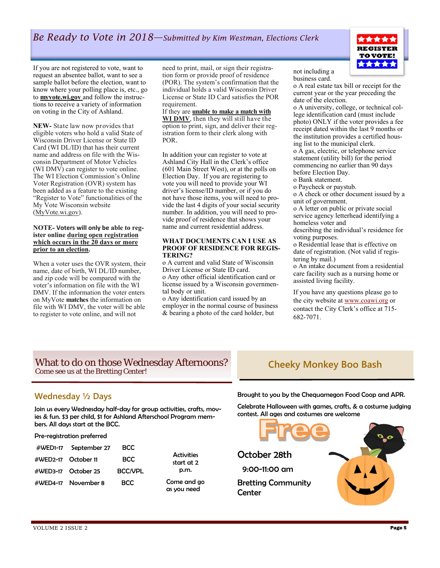**REGISTER TO VOTE!** \*\*\*\*\*

If you are not registered to vote, want to request an absentee ballot, want to see a sample ballot before the election, want to know where your polling place is, etc., go to **myvote.wi.gov** and follow the instructions to receive a variety of information on voting in the City of Ashland.

**NEW-** State law now provides that eligible voters who hold a valid State of Wisconsin Driver License or State ID Card (WI DL/ID) that has their current name and address on file with the Wisconsin Department of Motor Vehicles (WI DMV) can register to vote online. The WI Election Commission's Online Voter Registration (OVR) system has been added as a feature to the existing "Register to Vote" functionalities of the My Vote Wisconsin website (MyVote.wi.gov).

#### **NOTE- Voters will only be able to register online during open registration which occurs in the 20 days or more prior to an election.**

When a voter uses the OVR system, their name, date of birth, WI DL/ID number, and zip code will be compared with the voter's information on file with the WI DMV. If the information the voter enters on MyVote **matches** the information on file with WI DMV, the voter will be able to register to vote online, and will not

need to print, mail, or sign their registration form or provide proof of residence (POR). The system's confirmation that the individual holds a valid Wisconsin Driver License or State ID Card satisfies the POR requirement.

#### If they are **unable to make a match with**

**WI DMV**, then they will still have the option to print, sign, and deliver their registration form to their clerk along with POR.

In addition your can register to vote at Ashland City Hall in the Clerk's office (601 Main Street West), or at the polls on Election Day. If you are registering to vote you will need to provide your WI driver's license/ID number, or if you do not have those items, you will need to provide the last 4 digits of your social security number. In addition, you will need to provide proof of residence that shows your name and current residential address.

#### **WHAT DOCUMENTS CAN I USE AS PROOF OF RESIDENCE FOR REGIS-TERING?**

o A current and valid State of Wisconsin Driver License or State ID card. o Any other official identification card or license issued by a Wisconsin governmental body or unit.

o Any identification card issued by an employer in the normal course of business & bearing a photo of the card holder, but

not including a business card.

o A real estate tax bill or receipt for the current year or the year preceding the date of the election.

o A university, college, or technical college identification card (must include photo) ONLY if the voter provides a fee receipt dated within the last 9 months or the institution provides a certified housing list to the municipal clerk.

o A gas, electric, or telephone service statement (utility bill) for the period commencing no earlier than 90 days before Election Day.

o Bank statement.

o Paycheck or paystub.

o A check or other document issued by a unit of government.

o A letter on public or private social service agency letterhead identifying a homeless voter and

describing the individual's residence for voting purposes.

o Residential lease that is effective on date of registration. (Not valid if registering by mail.)

o An intake document from a residential care facility such as a nursing home or assisted living facility.

If you have any questions please go to the city website at www.coawi.org or contact the City Clerk's office at 715- 682-7071.

### What to do on those Wednesday Afternoons? Come see us at the Bretting Center!

## **Cheeky Monkey Boo Bash**

### **Wednesday ½ Days**

Join us every Wednesday half-day for group activities, crafts, movies & fun. \$3 per child, \$1 for Ashland Afterschool Program members. All days start at the BCC.

Pre-registration preferred

|                     | #WED1-17 September 27 | BCC            |
|---------------------|-----------------------|----------------|
| #WED2-17 October 11 |                       | <b>BCC</b>     |
|                     | #WED3-17 October 25   | <b>BCC/VPL</b> |
|                     | #WED4-17 November 8   | <b>BCC</b>     |

**Activities** start at 2 p.m.

Come and go as you need

Brought to you by the Chequamegon Food Coop and APR.

Celebrate Halloween with games, crafts, & a costume judging contest. All ages and costumes are welcome

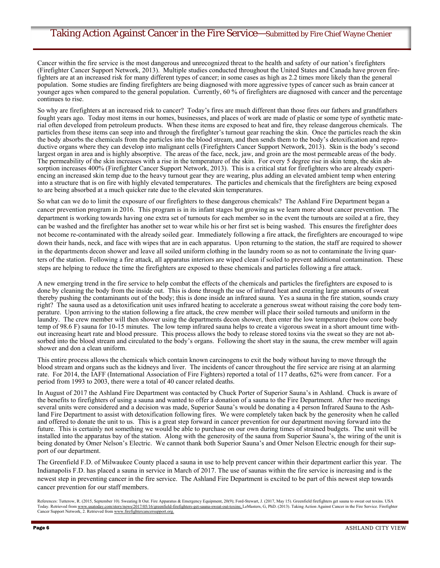### Taking Action Against Cancer in the Fire Service—Submitted by Fire Chief Wayne Chenier

Cancer within the fire service is the most dangerous and unrecognized threat to the health and safety of our nation's firefighters (Firefighter Cancer Support Network, 2013). Multiple studies conducted throughout the United States and Canada have proven firefighters are at an increased risk for many different types of cancer; in some cases as high as 2.2 times more likely than the general population. Some studies are finding firefighters are being diagnosed with more aggressive types of cancer such as brain cancer at younger ages when compared to the general population. Currently, 60 % of firefighters are diagnosed with cancer and the percentage continues to rise.

So why are firefighters at an increased risk to cancer? Today's fires are much different than those fires our fathers and grandfathers fought years ago. Today most items in our homes, businesses, and places of work are made of plastic or some type of synthetic material often developed from petroleum products. When these items are exposed to heat and fire, they release dangerous chemicals. The particles from these items can seep into and through the firefighter's turnout gear reaching the skin. Once the particles reach the skin the body absorbs the chemicals from the particles into the blood stream, and then sends them to the body's detoxification and reproductive organs where they can develop into malignant cells (Firefighters Cancer Support Network, 2013). Skin is the body's second largest organ in area and is highly absorptive. The areas of the face, neck, jaw, and groin are the most permeable areas of the body. The permeability of the skin increases with a rise in the temperature of the skin. For every 5 degree rise in skin temp, the skin absorption increases 400% (Firefighter Cancer Support Network, 2013). This is a critical stat for firefighters who are already experiencing an increased skin temp due to the heavy turnout gear they are wearing, plus adding an elevated ambient temp when entering into a structure that is on fire with highly elevated temperatures. The particles and chemicals that the firefighters are being exposed to are being absorbed at a much quicker rate due to the elevated skin temperatures.

So what can we do to limit the exposure of our firefighters to these dangerous chemicals? The Ashland Fire Department began a cancer prevention program in 2016. This program is in its infant stages but growing as we learn more about cancer prevention. The department is working towards having one extra set of turnouts for each member so in the event the turnouts are soiled at a fire, they can be washed and the firefighter has another set to wear while his or her first set is being washed. This ensures the firefighter does not become re-contaminated with the already soiled gear. Immediately following a fire attack, the firefighters are encouraged to wipe down their hands, neck, and face with wipes that are in each apparatus. Upon returning to the station, the staff are required to shower in the departments decon shower and leave all soiled uniform clothing in the laundry room so as not to contaminate the living quarters of the station. Following a fire attack, all apparatus interiors are wiped clean if soiled to prevent additional contamination. These steps are helping to reduce the time the firefighters are exposed to these chemicals and particles following a fire attack.

A new emerging trend in the fire service to help combat the effects of the chemicals and particles the firefighters are exposed to is done by cleaning the body from the inside out. This is done through the use of infrared heat and creating large amounts of sweat thereby pushing the contaminants out of the body; this is done inside an infrared sauna. Yes a sauna in the fire station, sounds crazy right? The sauna used as a detoxification unit uses infrared heating to accelerate a generous sweat without raising the core body temperature. Upon arriving to the station following a fire attack, the crew member will place their soiled turnouts and uniform in the laundry. The crew member will then shower using the departments decon shower, then enter the low temperature (below core body temp of 98.6 F) sauna for 10-15 minutes. The low temp infrared sauna helps to create a vigorous sweat in a short amount time without increasing heart rate and blood pressure. This process allows the body to release stored toxins via the sweat so they are not absorbed into the blood stream and circulated to the body's organs. Following the short stay in the sauna, the crew member will again shower and don a clean uniform.

This entire process allows the chemicals which contain known carcinogens to exit the body without having to move through the blood stream and organs such as the kidneys and liver. The incidents of cancer throughout the fire service are rising at an alarming rate. For 2014, the IAFF (International Association of Fire Fighters) reported a total of 117 deaths, 62% were from cancer. For a period from 1993 to 2003, there were a total of 40 cancer related deaths.

In August of 2017 the Ashland Fire Department was contacted by Chuck Porter of Superior Sauna's in Ashland. Chuck is aware of the benefits to firefighters of using a sauna and wanted to offer a donation of a sauna to the Fire Department. After two meetings several units were considered and a decision was made, Superior Sauna's would be donating a 4 person Infrared Sauna to the Ashland Fire Department to assist with detoxification following fires. We were completely taken back by the generosity when he called and offered to donate the unit to us. This is a great step forward in cancer prevention for our department moving forward into the future. This is certainly not something we would be able to purchase on our own during times of strained budgets. The unit will be installed into the apparatus bay of the station. Along with the generosity of the sauna from Superior Sauna's, the wiring of the unit is being donated by Omer Nelson's Electric. We cannot thank both Superior Sauna's and Omer Nelson Electric enough for their support of our department.

The Greenfield F.D. of Milwaukee County placed a sauna in use to help prevent cancer within their department earlier this year. The Indianapolis F.D. has placed a sauna in service in March of 2017. The use of saunas within the fire service is increasing and is the newest step in preventing cancer in the fire service. The Ashland Fire Department is excited to be part of this newest step towards cancer prevention for our staff members.

References: Tutterow, R. (2015, September 10). Sweating It Out. Fire Apparatus & Emergency Equipment, 20(9); Ford-Stewart, J. (2017, May 15). Greenfield firefighters get sauna to sweat out toxins. USA Today. Retrieved from www.usatoday.com/story/news/2017/05/16/greenfield-firefighters-get-sauna-sweat-out-toxins; LeMasters, G, PhD. (2013). Taking Action Against Cancer in the Fire Service. Firefighter Cancer Support Network, 2. Retrieved from www.firefightercancersupport.org.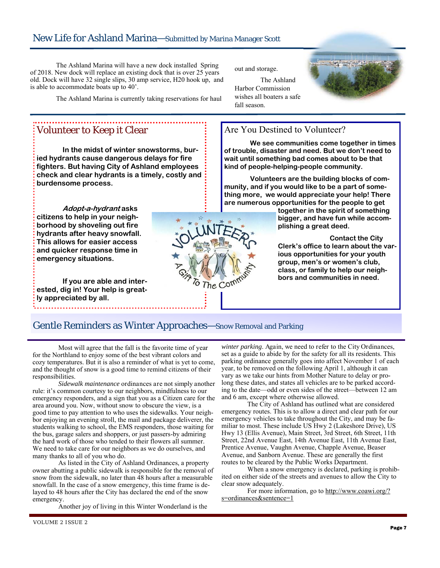The Ashland Marina will have a new dock installed Spring of 2018. New dock will replace an existing dock that is over 25 years old. Dock will have 32 single slips, 30 amp service, H20 hook up, and is able to accommodate boats up to 40'.

The Ashland Marina is currently taking reservations for haul

## Volunteer to Keep it Clear

 **In the midst of winter snowstorms, buried hydrants cause dangerous delays for fire fighters. But having City of Ashland employees check and clear hydrants is a timely, costly and burdensome process.** 

**Adopt-a-hydrant asks citizens to help in your neighborhood by shoveling out fire hydrants after heavy snowfall. This allows for easier access and quicker response time in emergency situations.** 

 **If you are able and interested, dig in! Your help is greatly appreciated by all.** 

out and storage.

 The Ashland Harbor Commission wishes all boaters a safe fall season.



### Are You Destined to Volunteer?

 **We see communities come together in times of trouble, disaster and need. But we don't need to wait until something bad comes about to be that kind of people-helping-people community.** 

 **Volunteers are the building blocks of community, and if you would like to be a part of something more, we would appreciate your help! There are numerous opportunities for the people to get** 

> **together in the spirit of something bigger, and have fun while accomplishing a great deed.**

 **Contact the City Clerk's office to learn about the various opportunities for your youth group, men's or women's club, class, or family to help our neighbors and communities in need.** 

### Gentle Reminders as Winter Approaches—Snow Removal and Parking

The

 Most will agree that the fall is the favorite time of year for the Northland to enjoy some of the best vibrant colors and cozy temperatures. But it is also a reminder of what is yet to come, and the thought of snow is a good time to remind citizens of their responsibilities.

*Sidewalk maintenance* ordinances are not simply another rule: it's common courtesy to our neighbors, mindfulness to our emergency responders, and a sign that you as a Citizen care for the area around you. Now, without snow to obscure the view, is a good time to pay attention to who uses the sidewalks. Your neighbor enjoying an evening stroll, the mail and package deliverer, the students walking to school, the EMS responders, those waiting for the bus, garage salers and shoppers, or just passers-by admiring the hard work of those who tended to their flowers all summer. We need to take care for our neighbors as we do ourselves, and many thanks to all of you who do.

 As listed in the City of Ashland Ordinances, a property owner abutting a public sidewalk is responsible for the removal of snow from the sidewalk, no later than 48 hours after a measurable snowfall. In the case of a snow emergency, this time frame is delayed to 48 hours after the City has declared the end of the snow emergency.

Another joy of living in this Winter Wonderland is the

*winter parking*. Again, we need to refer to the City Ordinances, set as a guide to abide by for the safety for all its residents. This parking ordinance generally goes into affect November 1 of each year, to be removed on the following April 1, although it can vary as we take our hints from Mother Nature to delay or prolong these dates, and states all vehicles are to be parked according to the date—odd or even sides of the street—between 12 am and 6 am, except where otherwise allowed.

 The City of Ashland has outlined what are considered emergency routes. This is to allow a direct and clear path for our emergency vehicles to take throughout the City, and may be familiar to most. These include US Hwy 2 (Lakeshore Drive), US Hwy 13 (Ellis Avenue), Main Street, 3rd Street, 6th Street, 11th Street, 22nd Avenue East, 14th Avenue East, 11th Avenue East, Prentice Avenue, Vaughn Avenue, Chapple Avenue, Beaser Avenue, and Sanborn Avenue. These are generally the first routes to be cleared by the Public Works Department.

 When a snow emergency is declared, parking is prohibited on either side of the streets and avenues to allow the City to clear snow adequately.

 For more information, go to http://www.coawi.org/? s=ordinances&sentence=1